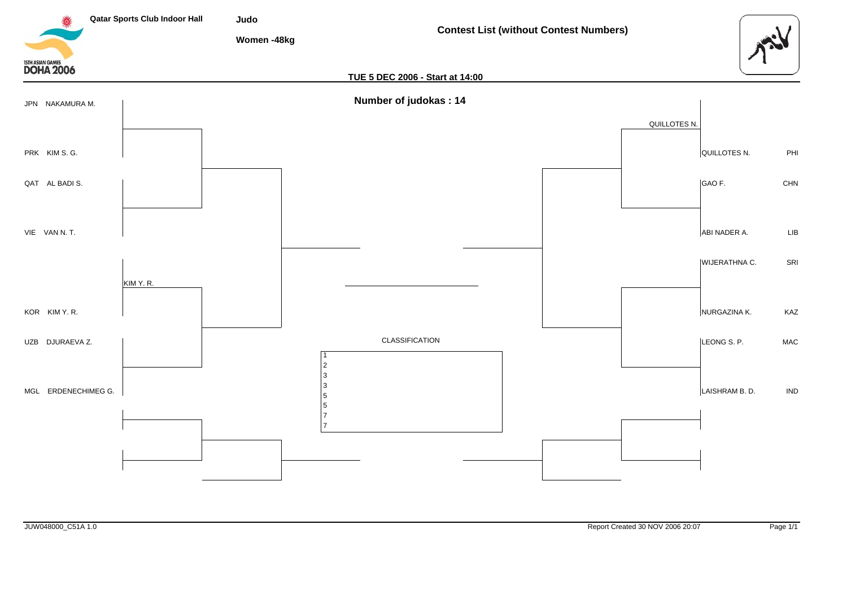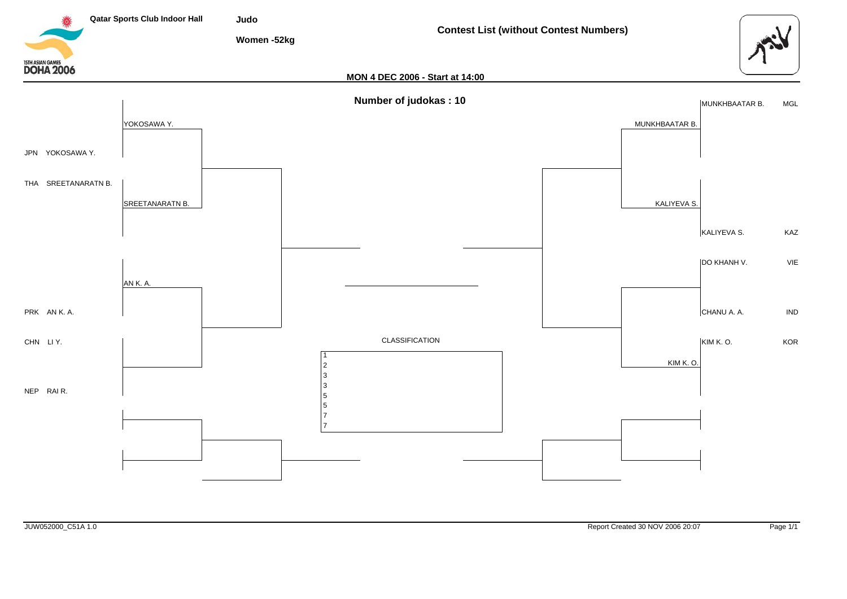![](_page_1_Figure_0.jpeg)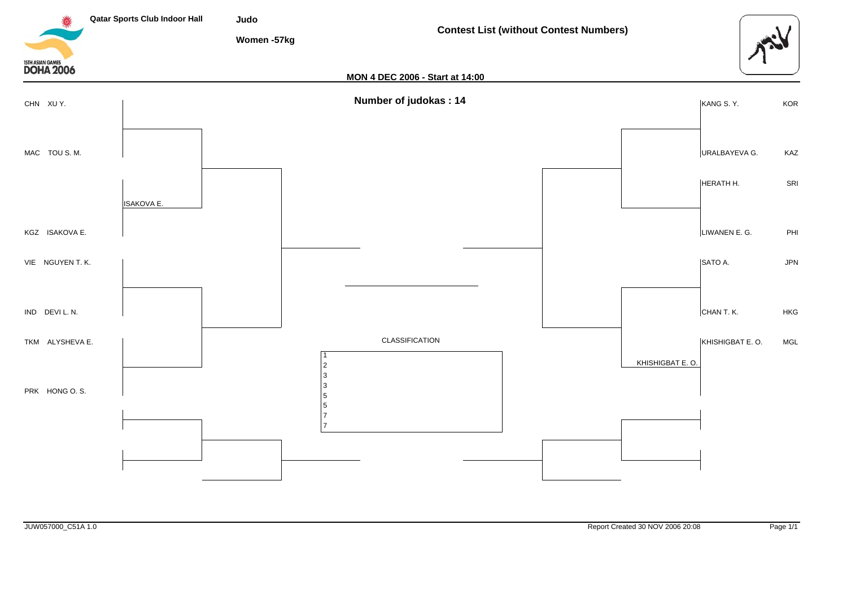![](_page_2_Figure_0.jpeg)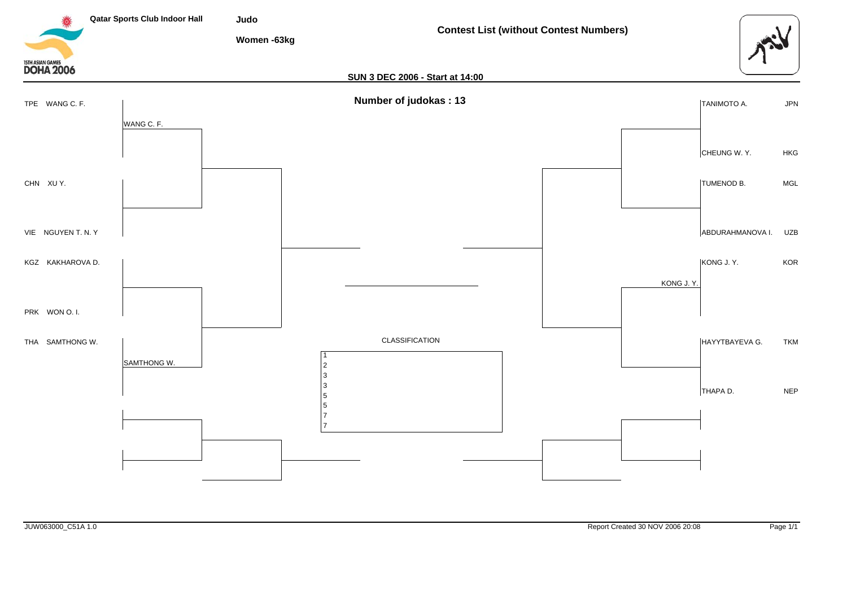![](_page_3_Figure_0.jpeg)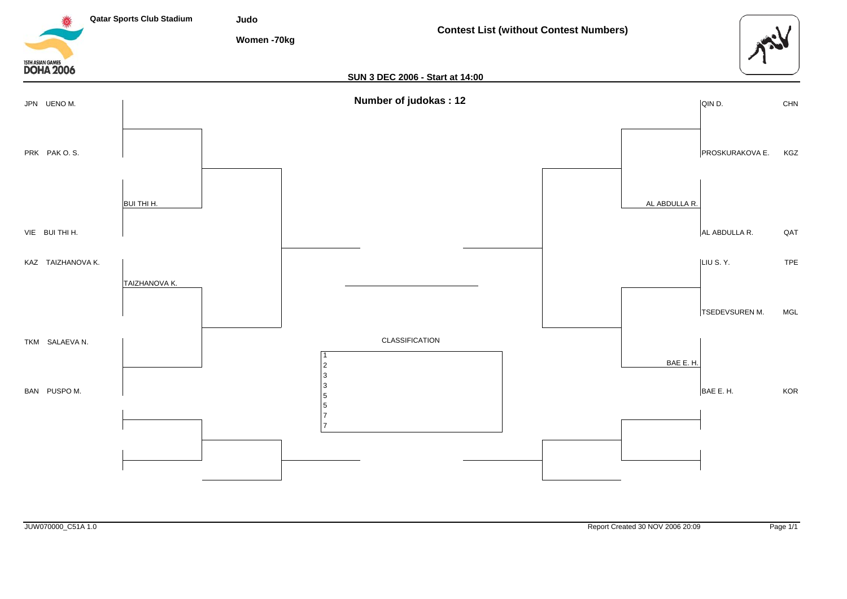![](_page_4_Figure_0.jpeg)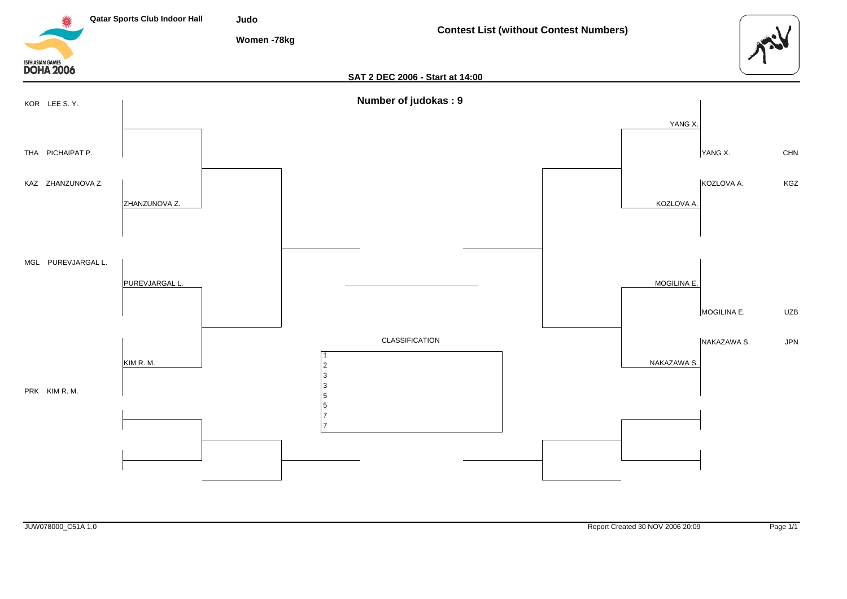![](_page_5_Figure_0.jpeg)